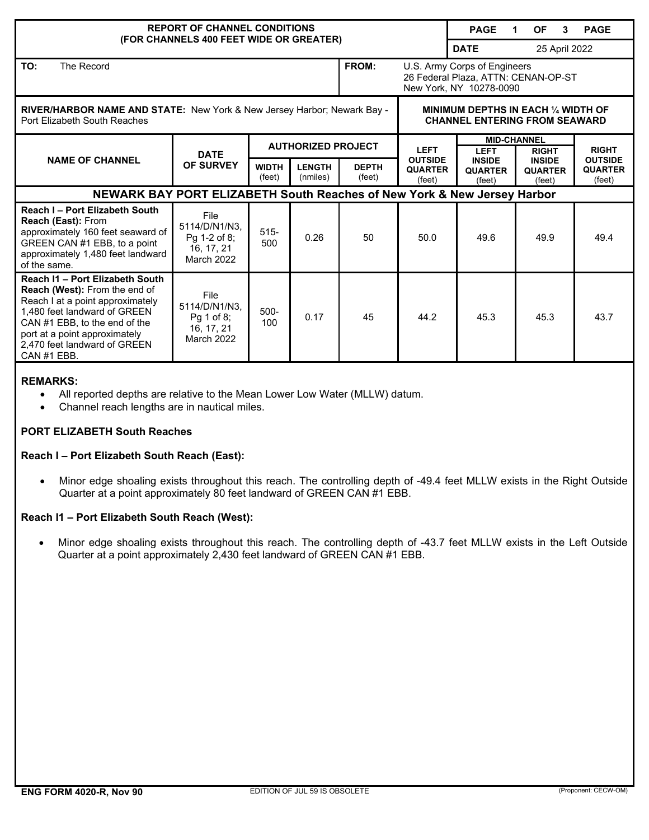| <b>REPORT OF CHANNEL CONDITIONS</b>                                                                                                                                                                                                                          |                                                                          |                           |                           |                        |                                                                                                | <b>PAGE</b>                                       | <b>OF</b><br>3<br>1.                      | <b>PAGE</b>                                |  |
|--------------------------------------------------------------------------------------------------------------------------------------------------------------------------------------------------------------------------------------------------------------|--------------------------------------------------------------------------|---------------------------|---------------------------|------------------------|------------------------------------------------------------------------------------------------|---------------------------------------------------|-------------------------------------------|--------------------------------------------|--|
| (FOR CHANNELS 400 FEET WIDE OR GREATER)                                                                                                                                                                                                                      |                                                                          |                           |                           |                        |                                                                                                | <b>DATE</b><br>25 April 2022                      |                                           |                                            |  |
| TO:<br>The Record                                                                                                                                                                                                                                            |                                                                          |                           |                           | FROM:                  | U.S. Army Corps of Engineers<br>26 Federal Plaza, ATTN: CENAN-OP-ST<br>New York, NY 10278-0090 |                                                   |                                           |                                            |  |
| <b>RIVER/HARBOR NAME AND STATE:</b> New York & New Jersey Harbor; Newark Bay -<br>Port Elizabeth South Reaches                                                                                                                                               |                                                                          |                           |                           |                        | MINIMUM DEPTHS IN EACH 1/4 WIDTH OF<br><b>CHANNEL ENTERING FROM SEAWARD</b>                    |                                                   |                                           |                                            |  |
| <b>NAME OF CHANNEL</b>                                                                                                                                                                                                                                       | <b>DATE</b>                                                              | <b>AUTHORIZED PROJECT</b> |                           |                        | <b>LEFT</b>                                                                                    | <b>MID-CHANNEL</b><br><b>LEFT</b><br><b>RIGHT</b> |                                           | <b>RIGHT</b>                               |  |
|                                                                                                                                                                                                                                                              | <b>OF SURVEY</b>                                                         | <b>WIDTH</b><br>(feet)    | <b>LENGTH</b><br>(nmiles) | <b>DEPTH</b><br>(feet) | <b>OUTSIDE</b><br><b>QUARTER</b><br>(feet)                                                     | <b>INSIDE</b><br><b>QUARTER</b><br>(feet)         | <b>INSIDE</b><br><b>QUARTER</b><br>(feet) | <b>OUTSIDE</b><br><b>QUARTER</b><br>(feet) |  |
| NEWARK BAY PORT ELIZABETH South Reaches of New York & New Jersey Harbor                                                                                                                                                                                      |                                                                          |                           |                           |                        |                                                                                                |                                                   |                                           |                                            |  |
| Reach I - Port Elizabeth South<br><b>Reach (East): From</b><br>approximately 160 feet seaward of<br>GREEN CAN #1 EBB, to a point<br>approximately 1,480 feet landward<br>of the same.                                                                        | File<br>5114/D/N1/N3.<br>Pg 1-2 of 8;<br>16, 17, 21<br><b>March 2022</b> | $515 -$<br>500            | 0.26                      | 50                     | 50.0                                                                                           | 49.6                                              | 49.9                                      | 49.4                                       |  |
| Reach I1 - Port Elizabeth South<br><b>Reach (West):</b> From the end of<br>Reach I at a point approximately<br>1,480 feet landward of GREEN<br>CAN #1 EBB, to the end of the<br>port at a point approximately<br>2,470 feet landward of GREEN<br>CAN #1 EBB. | File<br>5114/D/N1/N3.<br>Pq 1 of 8:<br>16, 17, 21<br><b>March 2022</b>   | $500 -$<br>100            | 0.17                      | 45                     | 44.2                                                                                           | 45.3                                              | 45.3                                      | 43.7                                       |  |

### **REMARKS:**

- All reported depths are relative to the Mean Lower Low Water (MLLW) datum.
- Channel reach lengths are in nautical miles.

### **PORT ELIZABETH South Reaches**

## **Reach I – Port Elizabeth South Reach (East):**

• Minor edge shoaling exists throughout this reach. The controlling depth of -49.4 feet MLLW exists in the Right Outside Quarter at a point approximately 80 feet landward of GREEN CAN #1 EBB.

# **Reach I1 – Port Elizabeth South Reach (West):**

• Minor edge shoaling exists throughout this reach. The controlling depth of -43.7 feet MLLW exists in the Left Outside Quarter at a point approximately 2,430 feet landward of GREEN CAN #1 EBB.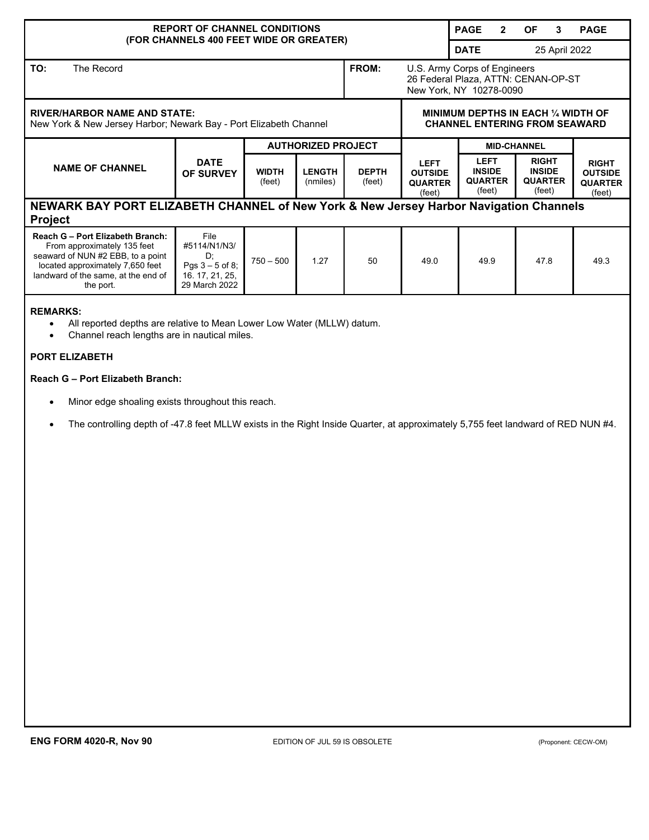| <b>REPORT OF CHANNEL CONDITIONS</b>                                                                                                                                                                                                                                                                                                                                                                                                                                            |                                                                                     |                           |                               |                        |                                                                                                | <b>PAGE</b><br>$\mathbf{2}$                              | <b>OF</b><br>3                                            | <b>PAGE</b>                                                |  |
|--------------------------------------------------------------------------------------------------------------------------------------------------------------------------------------------------------------------------------------------------------------------------------------------------------------------------------------------------------------------------------------------------------------------------------------------------------------------------------|-------------------------------------------------------------------------------------|---------------------------|-------------------------------|------------------------|------------------------------------------------------------------------------------------------|----------------------------------------------------------|-----------------------------------------------------------|------------------------------------------------------------|--|
| (FOR CHANNELS 400 FEET WIDE OR GREATER)                                                                                                                                                                                                                                                                                                                                                                                                                                        |                                                                                     |                           |                               |                        |                                                                                                | <b>DATE</b>                                              | 25 April 2022                                             |                                                            |  |
| TO:<br>The Record                                                                                                                                                                                                                                                                                                                                                                                                                                                              |                                                                                     |                           |                               | FROM:                  | U.S. Army Corps of Engineers<br>26 Federal Plaza, ATTN: CENAN-OP-ST<br>New York, NY 10278-0090 |                                                          |                                                           |                                                            |  |
| <b>RIVER/HARBOR NAME AND STATE:</b><br>New York & New Jersey Harbor; Newark Bay - Port Elizabeth Channel                                                                                                                                                                                                                                                                                                                                                                       |                                                                                     |                           |                               |                        | MINIMUM DEPTHS IN EACH 1/4 WIDTH OF<br><b>CHANNEL ENTERING FROM SEAWARD</b>                    |                                                          |                                                           |                                                            |  |
|                                                                                                                                                                                                                                                                                                                                                                                                                                                                                |                                                                                     | <b>AUTHORIZED PROJECT</b> |                               |                        |                                                                                                | <b>MID-CHANNEL</b>                                       |                                                           |                                                            |  |
| <b>NAME OF CHANNEL</b>                                                                                                                                                                                                                                                                                                                                                                                                                                                         | <b>DATE</b><br>OF SURVEY                                                            | <b>WIDTH</b><br>(feet)    | <b>LENGTH</b><br>(nmiles)     | <b>DEPTH</b><br>(feet) | LEFT<br><b>OUTSIDE</b><br><b>QUARTER</b><br>(feet)                                             | <b>LEFT</b><br><b>INSIDE</b><br><b>QUARTER</b><br>(feet) | <b>RIGHT</b><br><b>INSIDE</b><br><b>QUARTER</b><br>(feet) | <b>RIGHT</b><br><b>OUTSIDE</b><br><b>QUARTER</b><br>(feet) |  |
| NEWARK BAY PORT ELIZABETH CHANNEL of New York & New Jersey Harbor Navigation Channels<br><b>Project</b>                                                                                                                                                                                                                                                                                                                                                                        |                                                                                     |                           |                               |                        |                                                                                                |                                                          |                                                           |                                                            |  |
| Reach G - Port Elizabeth Branch:<br>From approximately 135 feet<br>seaward of NUN #2 EBB, to a point<br>located approximately 7,650 feet<br>landward of the same, at the end of<br>the port.                                                                                                                                                                                                                                                                                   | File<br>#5114/N1/N3/<br>D,<br>Pgs $3 - 5$ of 8;<br>16. 17, 21, 25,<br>29 March 2022 | $750 - 500$               | 1.27                          | 50                     | 49.0                                                                                           | 49.9                                                     | 47.8                                                      | 49.3                                                       |  |
| <b>REMARKS:</b><br>All reported depths are relative to Mean Lower Low Water (MLLW) datum.<br>$\bullet$<br>Channel reach lengths are in nautical miles.<br>$\bullet$<br>PORT ELIZABETH<br>Reach G - Port Elizabeth Branch:<br>Minor edge shoaling exists throughout this reach.<br>$\bullet$<br>The controlling depth of -47.8 feet MLLW exists in the Right Inside Quarter, at approximately 5,755 feet landward of RED NUN #4.<br>$\bullet$<br><b>ENG FORM 4020-R, Nov 90</b> |                                                                                     |                           | EDITION OF JUL 59 IS OBSOLETE |                        |                                                                                                |                                                          |                                                           | (Proponent: CECW-OM)                                       |  |
|                                                                                                                                                                                                                                                                                                                                                                                                                                                                                |                                                                                     |                           |                               |                        |                                                                                                |                                                          |                                                           |                                                            |  |